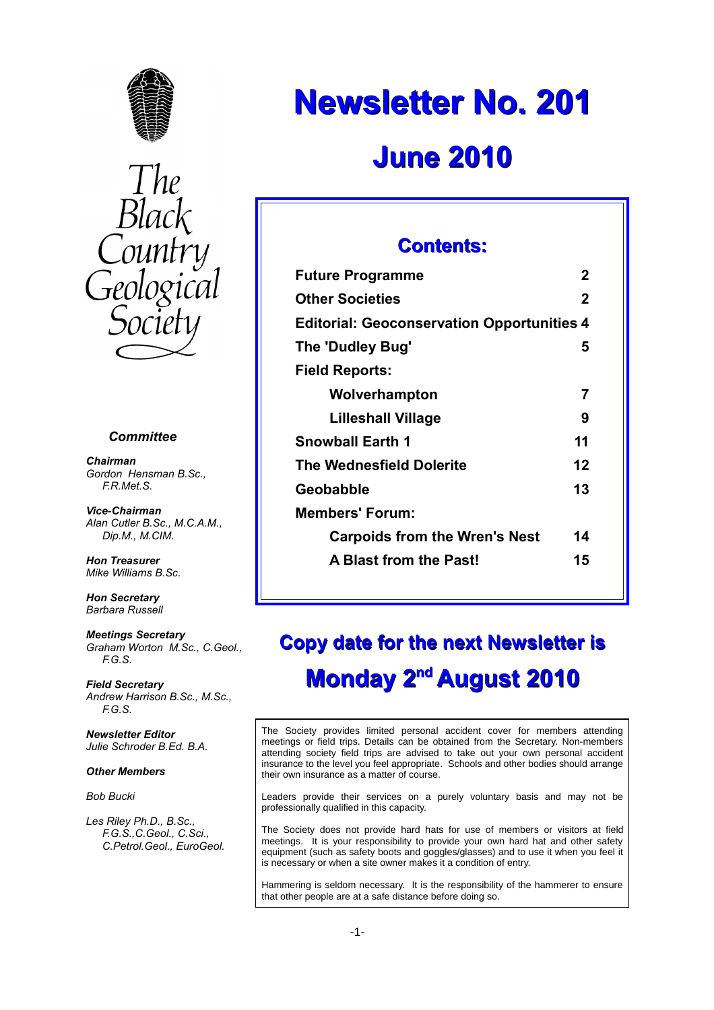



#### *Committee*

*Chairman Gordon Hensman B.Sc., F.R.Met.S.*

*Vice-Chairman Alan Cutler B.Sc., M.C.A.M., Dip.M., M.CIM.*

*Hon Treasurer Mike Williams B.Sc.*

*Hon Secretary Barbara Russell*

*Meetings Secretary Graham Worton M.Sc., C.Geol., F.G.S.*

*Field Secretary Andrew Harrison B.Sc., M.Sc., F.G.S.*

*Newsletter Editor Julie Schroder B.Ed. B.A.*

#### *Other Members*

*Bob Bucki*

*Les Riley Ph.D., B.Sc., F.G.S.,C.Geol., C.Sci., C.Petrol.Geol., EuroGeol.*

# **Newsletter No. 201**

## **June 2010**

## **Contents:**

| <b>Future Programme</b>                           | 2  |
|---------------------------------------------------|----|
| <b>Other Societies</b>                            | 2  |
| <b>Editorial: Geoconservation Opportunities 4</b> |    |
| The 'Dudley Bug'                                  | 5  |
| Field Reports:                                    |    |
| Wolverhampton                                     | 7  |
| <b>Lilleshall Village</b>                         | 9  |
| Snowball Earth 1                                  | 11 |
| The Wednesfield Dolerite                          | 12 |
| Geobabble                                         | 13 |
| Members' Forum:                                   |    |
| <b>Carpoids from the Wren's Nest</b>              | 14 |
| <b>A Blast from the Past!</b>                     | 15 |
|                                                   |    |

## **Copy date for the next Newsletter is Monday 2nd August 2010**

The Society provides limited personal accident cover for members attending meetings or field trips. Details can be obtained from the Secretary. Non-members attending society field trips are advised to take out your own personal accident insurance to the level you feel appropriate. Schools and other bodies should arrange their own insurance as a matter of course.

Leaders provide their services on a purely voluntary basis and may not be professionally qualified in this capacity.

The Society does not provide hard hats for use of members or visitors at field meetings. It is your responsibility to provide your own hard hat and other safety equipment (such as safety boots and goggles/glasses) and to use it when you feel it is necessary or when a site owner makes it a condition of entry.

Hammering is seldom necessary. It is the responsibility of the hammerer to ensure that other people are at a safe distance before doing so.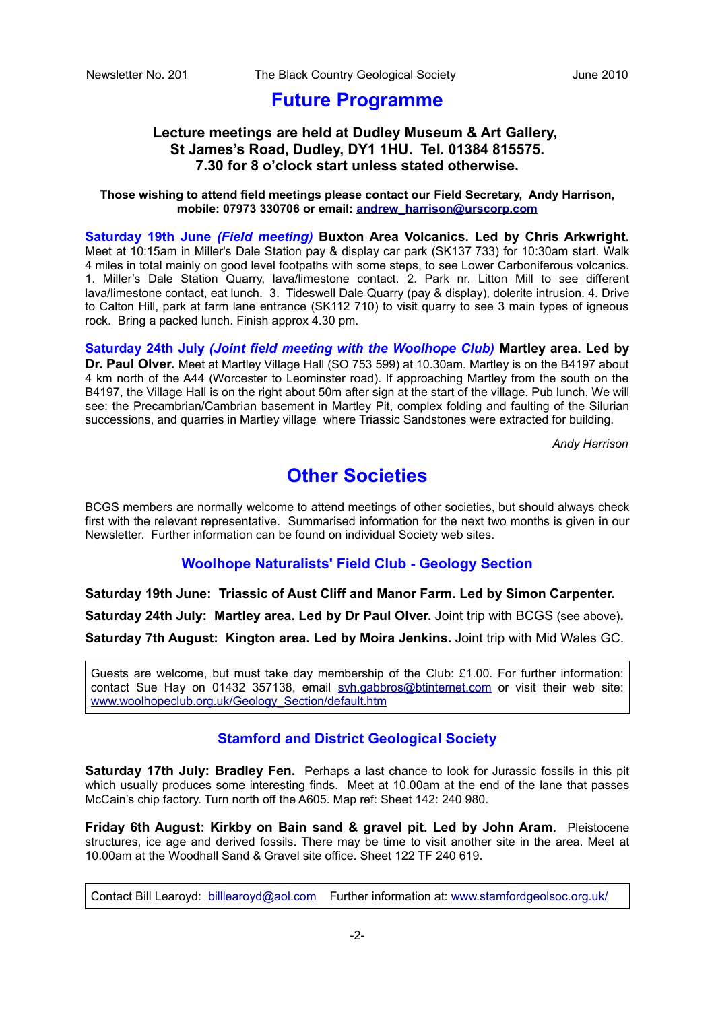## **Future Programme**

## **Lecture meetings are held at Dudley Museum & Art Gallery, St James's Road, Dudley, DY1 1HU. Tel. 01384 815575. 7.30 for 8 o'clock start unless stated otherwise.**

#### **Those wishing to attend field meetings please contact our Field Secretary, Andy Harrison, mobile: 07973 330706 or email: [andrew\\_harrison@urscorp.com](mailto:andrew_harrison@urscorp.com)**

**Saturday 19th June** *(Field meeting)* **Buxton Area Volcanics. Led by Chris Arkwright.** Meet at 10:15am in Miller's Dale Station pay & display car park (SK137 733) for 10:30am start. Walk 4 miles in total mainly on good level footpaths with some steps, to see Lower Carboniferous volcanics. 1. Miller's Dale Station Quarry, lava/limestone contact. 2. Park nr. Litton Mill to see different lava/limestone contact, eat lunch. 3. Tideswell Dale Quarry (pay & display), dolerite intrusion. 4. Drive to Calton Hill, park at farm lane entrance (SK112 710) to visit quarry to see 3 main types of igneous rock. Bring a packed lunch. Finish approx 4.30 pm.

**Saturday 24th July** *(Joint field meeting with the Woolhope Club)* **Martley area. Led by Dr. Paul Olver.** Meet at Martley Village Hall (SO 753 599) at 10.30am. Martley is on the B4197 about 4 km north of the A44 (Worcester to Leominster road). If approaching Martley from the south on the B4197, the Village Hall is on the right about 50m after sign at the start of the village. Pub lunch. We will see: the Precambrian/Cambrian basement in Martley Pit, complex folding and faulting of the Silurian successions, and quarries in Martley village where Triassic Sandstones were extracted for building.

*Andy Harrison*

## **Other Societies**

BCGS members are normally welcome to attend meetings of other societies, but should always check first with the relevant representative. Summarised information for the next two months is given in our Newsletter. Further information can be found on individual Society web sites.

### **Woolhope Naturalists' Field Club - Geology Section**

**Saturday 19th June: Triassic of Aust Cliff and Manor Farm. Led by Simon Carpenter. Saturday 24th July: Martley area. Led by Dr Paul Olver.** Joint trip with BCGS (see above)**. Saturday 7th August: Kington area. Led by Moira Jenkins.** Joint trip with Mid Wales GC.

Guests are welcome, but must take day membership of the Club: £1.00. For further information: contact Sue Hay on 01432 357138, email [svh.gabbros@btinternet.com](mailto:svh.gabbros@btinternet.com) or visit their web site: [www.woolhopeclub.org.uk/Geology\\_Section/default.htm](http://www.woolhopeclub.org.uk/Geology_Section/default.htm)

### **Stamford and District Geological Society**

**Saturday 17th July: Bradley Fen.** Perhaps a last chance to look for Jurassic fossils in this pit which usually produces some interesting finds. Meet at 10.00am at the end of the lane that passes McCain's chip factory. Turn north off the A605. Map ref: Sheet 142: 240 980.

**Friday 6th August: Kirkby on Bain sand & gravel pit. Led by John Aram.** Pleistocene structures, ice age and derived fossils. There may be time to visit another site in the area. Meet at 10.00am at the Woodhall Sand & Gravel site office. Sheet 122 TF 240 619.

Contact Bill Learoyd: [billlearoyd@aol.com](mailto:billlearoyd@aol.com) Further information at: [www.stamfordgeolsoc.org.uk/](http://www.stamfordgeolsoc.org.uk/)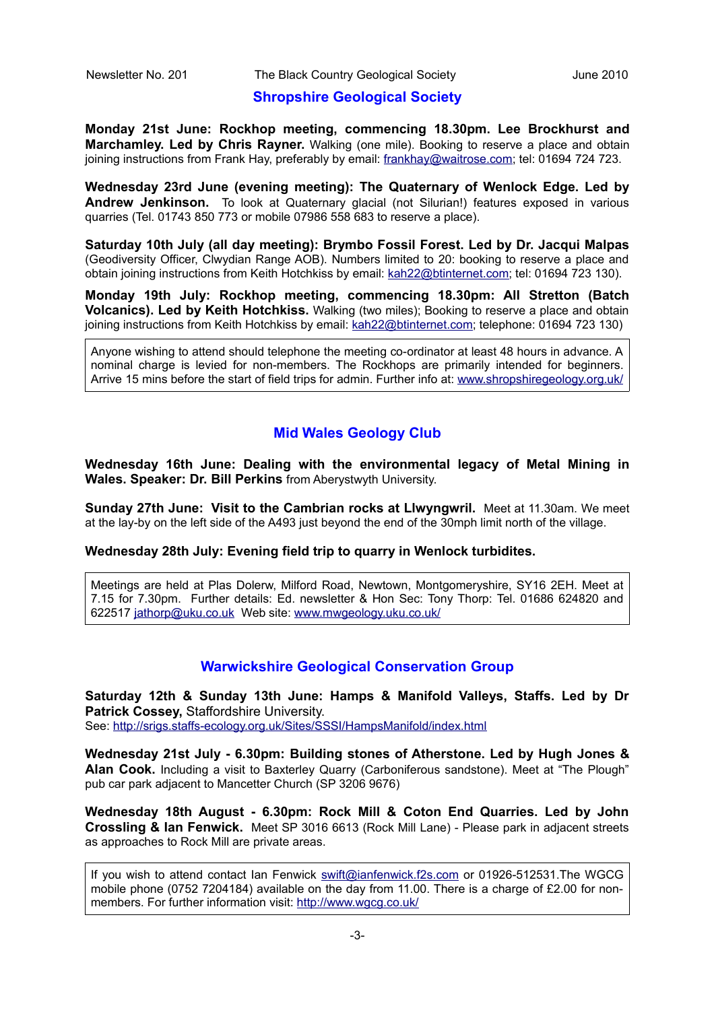#### **Shropshire Geological Society**

**Monday 21st June: Rockhop meeting, commencing 18.30pm. Lee Brockhurst and Marchamley. Led by Chris Rayner.** Walking (one mile). Booking to reserve a place and obtain joining instructions from Frank Hay, preferably by email: [frankhay@waitrose.com;](mailto:frankhay@waitrose.com) tel: 01694 724 723.

**Wednesday 23rd June (evening meeting): The Quaternary of Wenlock Edge. Led by Andrew Jenkinson.** To look at Quaternary glacial (not Silurian!) features exposed in various quarries (Tel. 01743 850 773 or mobile 07986 558 683 to reserve a place).

**Saturday 10th July (all day meeting): Brymbo Fossil Forest. Led by Dr. Jacqui Malpas** (Geodiversity Officer, Clwydian Range AOB). Numbers limited to 20: booking to reserve a place and obtain joining instructions from Keith Hotchkiss by email: [kah22@btinternet.com;](mailto:kah22@btinternet.com) tel: 01694 723 130).

**Monday 19th July: Rockhop meeting, commencing 18.30pm: All Stretton (Batch Volcanics). Led by Keith Hotchkiss.** Walking (two miles); Booking to reserve a place and obtain joining instructions from Keith Hotchkiss by email: [kah22@btinternet.com;](mailto:kah22@btinternet.com) telephone: 01694 723 130)

Anyone wishing to attend should telephone the meeting co-ordinator at least 48 hours in advance. A nominal charge is levied for non-members. The Rockhops are primarily intended for beginners. Arrive 15 mins before the start of field trips for admin. Further info at: [www.shropshiregeology.org.uk/](http://www.shropshiregeology.org.uk/)

## **Mid Wales Geology Club**

**Wednesday 16th June: Dealing with the environmental legacy of Metal Mining in Wales. Speaker: Dr. Bill Perkins** from Aberystwyth University.

**Sunday 27th June: Visit to the Cambrian rocks at Llwyngwril.** Meet at 11.30am. We meet at the lay-by on the left side of the A493 just beyond the end of the 30mph limit north of the village.

**Wednesday 28th July: Evening field trip to quarry in Wenlock turbidites.**

Meetings are held at Plas Dolerw, Milford Road, Newtown, Montgomeryshire, SY16 2EH. Meet at 7.15 for 7.30pm. Further details: Ed. newsletter & Hon Sec: Tony Thorp: Tel. 01686 624820 and 622517 [jathorp@uku.co.uk](mailto:jathorp@uku.co.uk) Web site: [www.mwgeology.uku.co.uk/](http://www.mwgeology.uku.co.uk/)

### **Warwickshire Geological Conservation Group**

**Saturday 12th & Sunday 13th June: Hamps & Manifold Valleys, Staffs. Led by Dr Patrick Cossey,** Staffordshire University. See:<http://srigs.staffs-ecology.org.uk/Sites/SSSI/HampsManifold/index.html>

**Wednesday 21st July - 6.30pm: Building stones of Atherstone. Led by Hugh Jones & Alan Cook.** Including a visit to Baxterley Quarry (Carboniferous sandstone). Meet at "The Plough"

as approaches to Rock Mill are private areas.

pub car park adjacent to Mancetter Church (SP 3206 9676) **Wednesday 18th August - 6.30pm: Rock Mill & Coton End Quarries. Led by John Crossling & Ian Fenwick.** Meet SP 3016 6613 (Rock Mill Lane) - Please park in adjacent streets

If you wish to attend contact Ian Fenwick [swift@ianfenwick.f2s.com](mailto:swift@ianfenwick.f2s.com) or 01926-512531.The WGCG mobile phone (0752 7204184) available on the day from 11.00. There is a charge of £2.00 for nonmembers. For further information visit:<http://www.wgcg.co.uk/>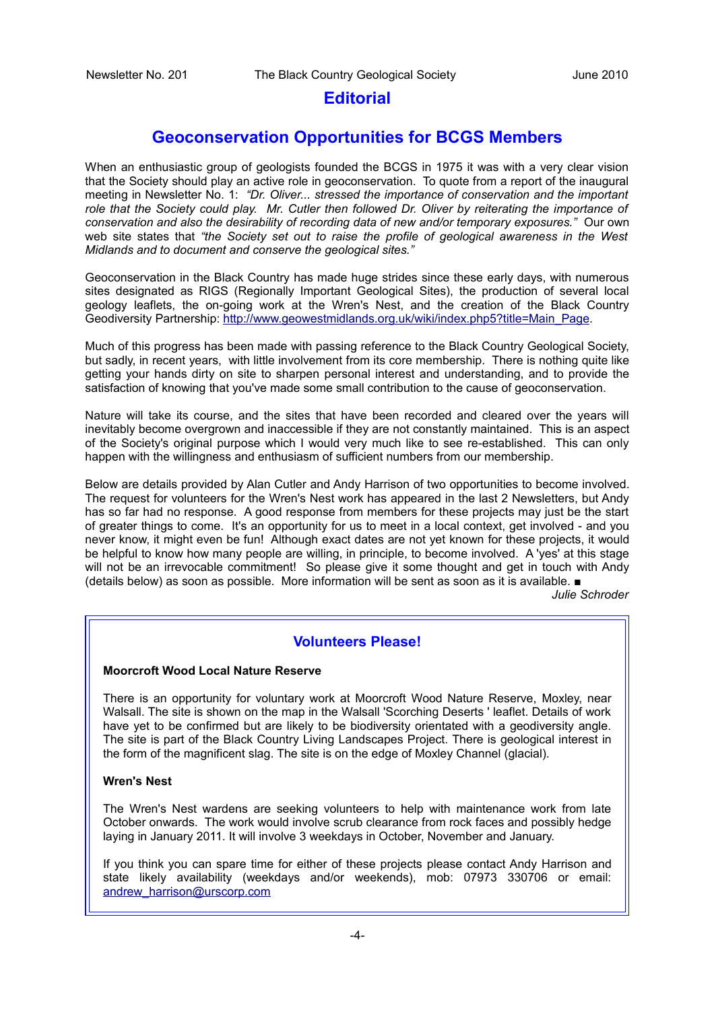## **Editorial**

## **Geoconservation Opportunities for BCGS Members**

When an enthusiastic group of geologists founded the BCGS in 1975 it was with a very clear vision that the Society should play an active role in geoconservation. To quote from a report of the inaugural meeting in Newsletter No. 1: *"Dr. Oliver... stressed the importance of conservation and the important role that the Society could play. Mr. Cutler then followed Dr. Oliver by reiterating the importance of conservation and also the desirability of recording data of new and/or temporary exposures."* Our own web site states that *"the Society set out to raise the profile of geological awareness in the West Midlands and to document and conserve the geological sites."*

Geoconservation in the Black Country has made huge strides since these early days, with numerous sites designated as RIGS (Regionally Important Geological Sites), the production of several local geology leaflets, the on-going work at the Wren's Nest, and the creation of the Black Country Geodiversity Partnership: [http://www.geowestmidlands.org.uk/wiki/index.php5?title=Main\\_Page.](http://www.geowestmidlands.org.uk/wiki/index.php5?title=Main_Page)

Much of this progress has been made with passing reference to the Black Country Geological Society, but sadly, in recent years, with little involvement from its core membership. There is nothing quite like getting your hands dirty on site to sharpen personal interest and understanding, and to provide the satisfaction of knowing that you've made some small contribution to the cause of geoconservation.

Nature will take its course, and the sites that have been recorded and cleared over the years will inevitably become overgrown and inaccessible if they are not constantly maintained. This is an aspect of the Society's original purpose which I would very much like to see re-established. This can only happen with the willingness and enthusiasm of sufficient numbers from our membership.

Below are details provided by Alan Cutler and Andy Harrison of two opportunities to become involved. The request for volunteers for the Wren's Nest work has appeared in the last 2 Newsletters, but Andy has so far had no response. A good response from members for these projects may just be the start of greater things to come. It's an opportunity for us to meet in a local context, get involved - and you never know, it might even be fun! Although exact dates are not yet known for these projects, it would be helpful to know how many people are willing, in principle, to become involved. A 'yes' at this stage will not be an irrevocable commitment! So please give it some thought and get in touch with Andy (details below) as soon as possible. More information will be sent as soon as it is available. ■

*Julie Schroder*

## **Volunteers Please!**

#### **Moorcroft Wood Local Nature Reserve**

There is an opportunity for voluntary work at Moorcroft Wood Nature Reserve, Moxley, near Walsall. The site is shown on the map in the Walsall 'Scorching Deserts ' leaflet. Details of work have yet to be confirmed but are likely to be biodiversity orientated with a geodiversity angle. The site is part of the Black Country Living Landscapes Project. There is geological interest in the form of the magnificent slag. The site is on the edge of Moxley Channel (glacial).

#### **Wren's Nest**

The Wren's Nest wardens are seeking volunteers to help with maintenance work from late October onwards. The work would involve scrub clearance from rock faces and possibly hedge laying in January 2011. It will involve 3 weekdays in October, November and January.

If you think you can spare time for either of these projects please contact Andy Harrison and state likely availability (weekdays and/or weekends), mob: 07973 330706 or email: [andrew\\_harrison@urscorp.com](mailto:andrew_harrison@urscorp.com)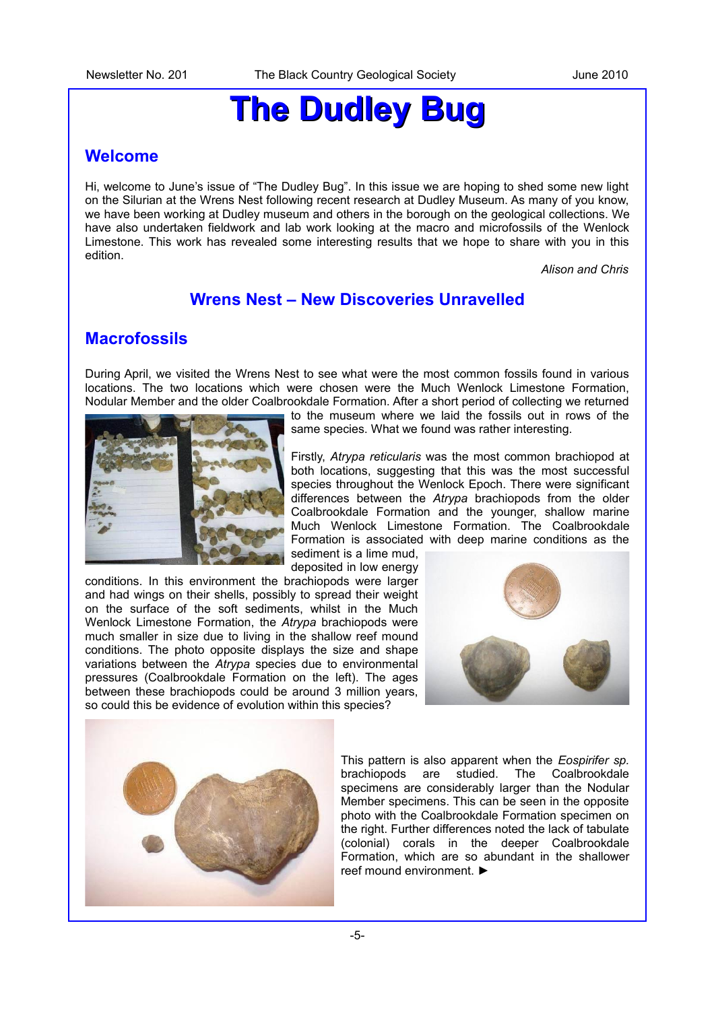## **The Dudley Bug**

## **Welcome**

Hi, welcome to June's issue of "The Dudley Bug". In this issue we are hoping to shed some new light on the Silurian at the Wrens Nest following recent research at Dudley Museum. As many of you know, we have been working at Dudley museum and others in the borough on the geological collections. We have also undertaken fieldwork and lab work looking at the macro and microfossils of the Wenlock Limestone. This work has revealed some interesting results that we hope to share with you in this edition.

*Alison and Chris*

## **Wrens Nest – New Discoveries Unravelled**

## **Macrofossils**

During April, we visited the Wrens Nest to see what were the most common fossils found in various locations. The two locations which were chosen were the Much Wenlock Limestone Formation, Nodular Member and the older Coalbrookdale Formation. After a short period of collecting we returned



to the museum where we laid the fossils out in rows of the same species. What we found was rather interesting.

Firstly, *Atrypa reticularis* was the most common brachiopod at both locations, suggesting that this was the most successful species throughout the Wenlock Epoch. There were significant differences between the *Atrypa* brachiopods from the older Coalbrookdale Formation and the younger, shallow marine Much Wenlock Limestone Formation. The Coalbrookdale Formation is associated with deep marine conditions as the sediment is a lime mud,

deposited in low energy

conditions. In this environment the brachiopods were larger and had wings on their shells, possibly to spread their weight on the surface of the soft sediments, whilst in the Much Wenlock Limestone Formation, the *Atrypa* brachiopods were much smaller in size due to living in the shallow reef mound conditions. The photo opposite displays the size and shape variations between the *Atrypa* species due to environmental pressures (Coalbrookdale Formation on the left). The ages between these brachiopods could be around 3 million years, so could this be evidence of evolution within this species?





This pattern is also apparent when the *Eospirifer sp.* brachiopods are studied. The Coalbrookdale specimens are considerably larger than the Nodular Member specimens. This can be seen in the opposite photo with the Coalbrookdale Formation specimen on the right. Further differences noted the lack of tabulate (colonial) corals in the deeper Coalbrookdale Formation, which are so abundant in the shallower reef mound environment. ►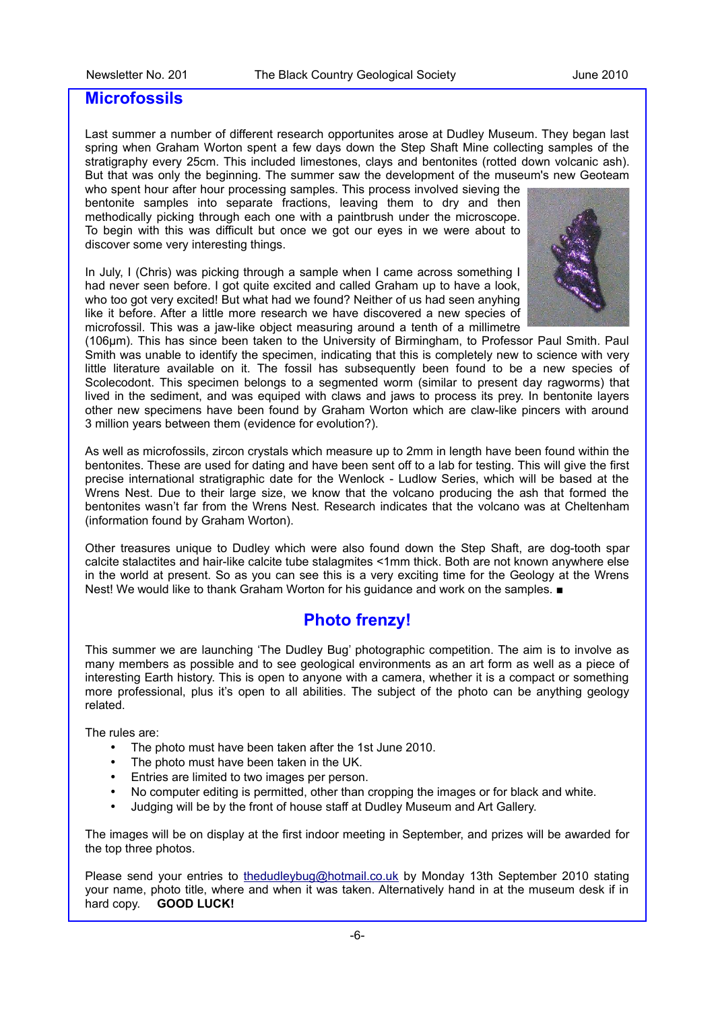#### **Microfossils**

Last summer a number of different research opportunites arose at Dudley Museum. They began last spring when Graham Worton spent a few days down the Step Shaft Mine collecting samples of the stratigraphy every 25cm. This included limestones, clays and bentonites (rotted down volcanic ash). But that was only the beginning. The summer saw the development of the museum's new Geoteam who spent hour after hour processing samples. This process involved sieving the

bentonite samples into separate fractions, leaving them to dry and then methodically picking through each one with a paintbrush under the microscope. To begin with this was difficult but once we got our eyes in we were about to discover some very interesting things.

In July, I (Chris) was picking through a sample when I came across something I had never seen before. I got quite excited and called Graham up to have a look. who too got very excited! But what had we found? Neither of us had seen anyhing like it before. After a little more research we have discovered a new species of microfossil. This was a jaw-like object measuring around a tenth of a millimetre



(106μm). This has since been taken to the University of Birmingham, to Professor Paul Smith. Paul Smith was unable to identify the specimen, indicating that this is completely new to science with very little literature available on it. The fossil has subsequently been found to be a new species of Scolecodont. This specimen belongs to a segmented worm (similar to present day ragworms) that lived in the sediment, and was equiped with claws and jaws to process its prey. In bentonite layers other new specimens have been found by Graham Worton which are claw-like pincers with around 3 million years between them (evidence for evolution?).

As well as microfossils, zircon crystals which measure up to 2mm in length have been found within the bentonites. These are used for dating and have been sent off to a lab for testing. This will give the first precise international stratigraphic date for the Wenlock - Ludlow Series, which will be based at the Wrens Nest. Due to their large size, we know that the volcano producing the ash that formed the bentonites wasn't far from the Wrens Nest. Research indicates that the volcano was at Cheltenham (information found by Graham Worton).

Other treasures unique to Dudley which were also found down the Step Shaft, are dog-tooth spar calcite stalactites and hair-like calcite tube stalagmites <1mm thick. Both are not known anywhere else in the world at present. So as you can see this is a very exciting time for the Geology at the Wrens Nest! We would like to thank Graham Worton for his guidance and work on the samples. ■

## **Photo frenzy!**

This summer we are launching 'The Dudley Bug' photographic competition. The aim is to involve as many members as possible and to see geological environments as an art form as well as a piece of interesting Earth history. This is open to anyone with a camera, whether it is a compact or something more professional, plus it's open to all abilities. The subject of the photo can be anything geology related.

The rules are:

- The photo must have been taken after the 1st June 2010.
- The photo must have been taken in the UK.
- Entries are limited to two images per person.
- No computer editing is permitted, other than cropping the images or for black and white.
- Judging will be by the front of house staff at Dudley Museum and Art Gallery.

The images will be on display at the first indoor meeting in September, and prizes will be awarded for the top three photos.

Please send your entries to [thedudleybug@hotmail.co.uk](mailto:thedudleybug@hotmail.co.uk) by Monday 13th September 2010 stating your name, photo title, where and when it was taken. Alternatively hand in at the museum desk if in hard copy. **GOOD LUCK!**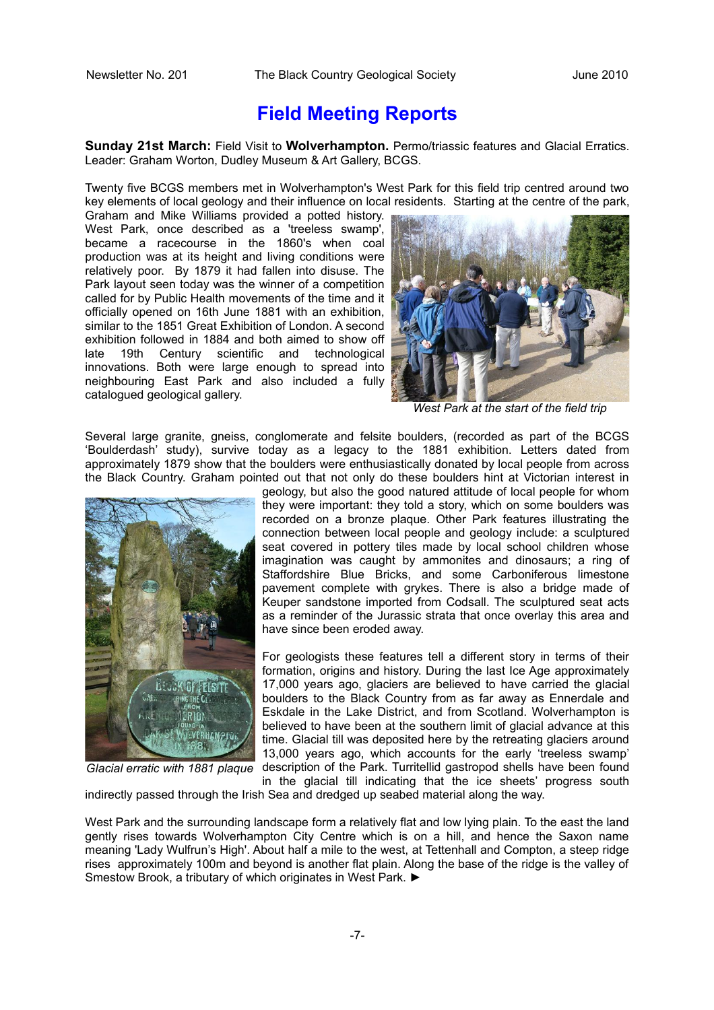## **Field Meeting Reports**

**Sunday 21st March:** Field Visit to **Wolverhampton.** Permo/triassic features and Glacial Erratics. Leader: Graham Worton, Dudley Museum & Art Gallery, BCGS.

Twenty five BCGS members met in Wolverhampton's West Park for this field trip centred around two key elements of local geology and their influence on local residents. Starting at the centre of the park,

Graham and Mike Williams provided a potted history. West Park, once described as a 'treeless swamp', became a racecourse in the 1860's when coal production was at its height and living conditions were relatively poor. By 1879 it had fallen into disuse. The Park layout seen today was the winner of a competition called for by Public Health movements of the time and it officially opened on 16th June 1881 with an exhibition, similar to the 1851 Great Exhibition of London. A second exhibition followed in 1884 and both aimed to show off late 19th Century scientific and technological innovations. Both were large enough to spread into neighbouring East Park and also included a fully catalogued geological gallery.



*West Park at the start of the field trip*

Several large granite, gneiss, conglomerate and felsite boulders, (recorded as part of the BCGS 'Boulderdash' study), survive today as a legacy to the 1881 exhibition. Letters dated from approximately 1879 show that the boulders were enthusiastically donated by local people from across the Black Country. Graham pointed out that not only do these boulders hint at Victorian interest in



*Glacial erratic with 1881 plaque*

geology, but also the good natured attitude of local people for whom they were important: they told a story, which on some boulders was recorded on a bronze plaque. Other Park features illustrating the connection between local people and geology include: a sculptured seat covered in pottery tiles made by local school children whose imagination was caught by ammonites and dinosaurs; a ring of Staffordshire Blue Bricks, and some Carboniferous limestone pavement complete with grykes. There is also a bridge made of Keuper sandstone imported from Codsall. The sculptured seat acts as a reminder of the Jurassic strata that once overlay this area and have since been eroded away.

For geologists these features tell a different story in terms of their formation, origins and history. During the last Ice Age approximately 17,000 years ago, glaciers are believed to have carried the glacial boulders to the Black Country from as far away as Ennerdale and Eskdale in the Lake District, and from Scotland. Wolverhampton is believed to have been at the southern limit of glacial advance at this time. Glacial till was deposited here by the retreating glaciers around 13,000 years ago, which accounts for the early 'treeless swamp' description of the Park. Turritellid gastropod shells have been found in the glacial till indicating that the ice sheets' progress south

indirectly passed through the Irish Sea and dredged up seabed material along the way.

West Park and the surrounding landscape form a relatively flat and low lying plain. To the east the land gently rises towards Wolverhampton City Centre which is on a hill, and hence the Saxon name meaning 'Lady Wulfrun's High'. About half a mile to the west, at Tettenhall and Compton, a steep ridge rises approximately 100m and beyond is another flat plain. Along the base of the ridge is the valley of Smestow Brook, a tributary of which originates in West Park. ►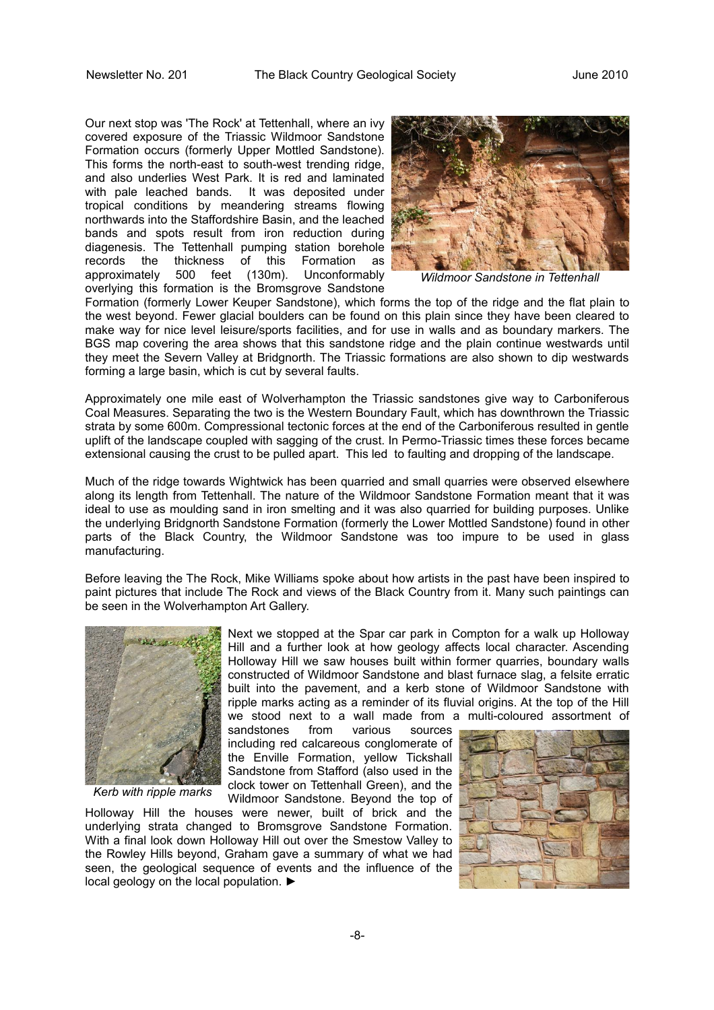Our next stop was 'The Rock' at Tettenhall, where an ivy covered exposure of the Triassic Wildmoor Sandstone Formation occurs (formerly Upper Mottled Sandstone). This forms the north-east to south-west trending ridge, and also underlies West Park. It is red and laminated with pale leached bands. It was deposited under tropical conditions by meandering streams flowing northwards into the Staffordshire Basin, and the leached bands and spots result from iron reduction during diagenesis. The Tettenhall pumping station borehole records the thickness of this Formation as approximately 500 feet (130m). Unconformably overlying this formation is the Bromsgrove Sandstone



*Wildmoor Sandstone in Tettenhall*

Formation (formerly Lower Keuper Sandstone), which forms the top of the ridge and the flat plain to the west beyond. Fewer glacial boulders can be found on this plain since they have been cleared to make way for nice level leisure/sports facilities, and for use in walls and as boundary markers. The BGS map covering the area shows that this sandstone ridge and the plain continue westwards until they meet the Severn Valley at Bridgnorth. The Triassic formations are also shown to dip westwards forming a large basin, which is cut by several faults.

Approximately one mile east of Wolverhampton the Triassic sandstones give way to Carboniferous Coal Measures. Separating the two is the Western Boundary Fault, which has downthrown the Triassic strata by some 600m. Compressional tectonic forces at the end of the Carboniferous resulted in gentle uplift of the landscape coupled with sagging of the crust. In Permo-Triassic times these forces became extensional causing the crust to be pulled apart. This led to faulting and dropping of the landscape.

Much of the ridge towards Wightwick has been quarried and small quarries were observed elsewhere along its length from Tettenhall. The nature of the Wildmoor Sandstone Formation meant that it was ideal to use as moulding sand in iron smelting and it was also quarried for building purposes. Unlike the underlying Bridgnorth Sandstone Formation (formerly the Lower Mottled Sandstone) found in other parts of the Black Country, the Wildmoor Sandstone was too impure to be used in glass manufacturing.

Before leaving the The Rock, Mike Williams spoke about how artists in the past have been inspired to paint pictures that include The Rock and views of the Black Country from it. Many such paintings can be seen in the Wolverhampton Art Gallery.



*Kerb with ripple marks*

Next we stopped at the Spar car park in Compton for a walk up Holloway Hill and a further look at how geology affects local character. Ascending Holloway Hill we saw houses built within former quarries, boundary walls constructed of Wildmoor Sandstone and blast furnace slag, a felsite erratic built into the pavement, and a kerb stone of Wildmoor Sandstone with ripple marks acting as a reminder of its fluvial origins. At the top of the Hill we stood next to a wall made from a multi-coloured assortment of

sandstones from various sources including red calcareous conglomerate of the Enville Formation, yellow Tickshall Sandstone from Stafford (also used in the clock tower on Tettenhall Green), and the Wildmoor Sandstone. Beyond the top of

Holloway Hill the houses were newer, built of brick and the underlying strata changed to Bromsgrove Sandstone Formation. With a final look down Holloway Hill out over the Smestow Valley to the Rowley Hills beyond, Graham gave a summary of what we had seen, the geological sequence of events and the influence of the local geology on the local population. ►

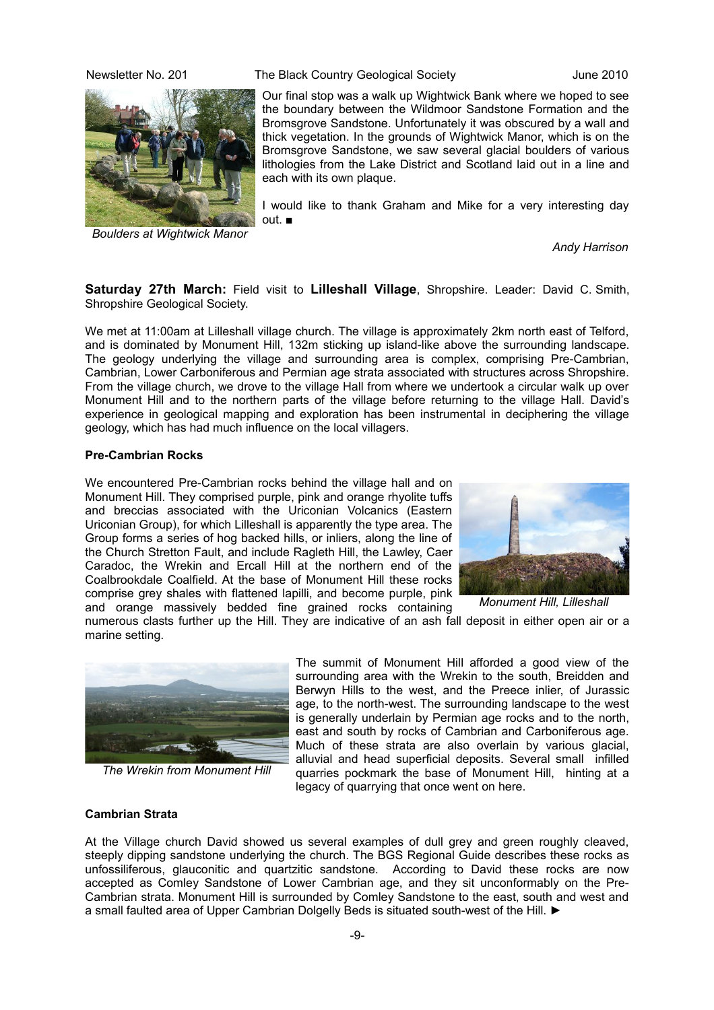

*Boulders at Wightwick Manor*

Newsletter No. 201 The Black Country Geological Society June 2010

Our final stop was a walk up Wightwick Bank where we hoped to see the boundary between the Wildmoor Sandstone Formation and the Bromsgrove Sandstone. Unfortunately it was obscured by a wall and thick vegetation. In the grounds of Wightwick Manor, which is on the Bromsgrove Sandstone, we saw several glacial boulders of various lithologies from the Lake District and Scotland laid out in a line and each with its own plaque.

I would like to thank Graham and Mike for a very interesting day out. ■

*Andy Harrison*

**Saturday 27th March:** Field visit to **Lilleshall Village**, Shropshire. Leader: David C. Smith, Shropshire Geological Society.

We met at 11:00am at Lilleshall village church. The village is approximately 2km north east of Telford, and is dominated by Monument Hill, 132m sticking up island-like above the surrounding landscape. The geology underlying the village and surrounding area is complex, comprising Pre-Cambrian, Cambrian, Lower Carboniferous and Permian age strata associated with structures across Shropshire. From the village church, we drove to the village Hall from where we undertook a circular walk up over Monument Hill and to the northern parts of the village before returning to the village Hall. David's experience in geological mapping and exploration has been instrumental in deciphering the village geology, which has had much influence on the local villagers.

#### **Pre-Cambrian Rocks**

We encountered Pre-Cambrian rocks behind the village hall and on Monument Hill. They comprised purple, pink and orange rhyolite tuffs and breccias associated with the Uriconian Volcanics (Eastern Uriconian Group), for which Lilleshall is apparently the type area. The Group forms a series of hog backed hills, or inliers, along the line of the Church Stretton Fault, and include Ragleth Hill, the Lawley, Caer Caradoc, the Wrekin and Ercall Hill at the northern end of the Coalbrookdale Coalfield. At the base of Monument Hill these rocks comprise grey shales with flattened lapilli, and become purple, pink and orange massively bedded fine grained rocks containing



numerous clasts further up the Hill. They are indicative of an ash fall deposit in either open air or a marine setting.



*The Wrekin from Monument Hill*

The summit of Monument Hill afforded a good view of the surrounding area with the Wrekin to the south, Breidden and Berwyn Hills to the west, and the Preece inlier, of Jurassic age, to the north-west. The surrounding landscape to the west is generally underlain by Permian age rocks and to the north, east and south by rocks of Cambrian and Carboniferous age. Much of these strata are also overlain by various glacial, alluvial and head superficial deposits. Several small infilled quarries pockmark the base of Monument Hill, hinting at a legacy of quarrying that once went on here.

#### **Cambrian Strata**

At the Village church David showed us several examples of dull grey and green roughly cleaved, steeply dipping sandstone underlying the church. The BGS Regional Guide describes these rocks as unfossiliferous, glauconitic and quartzitic sandstone. According to David these rocks are now accepted as Comley Sandstone of Lower Cambrian age, and they sit unconformably on the Pre-Cambrian strata. Monument Hill is surrounded by Comley Sandstone to the east, south and west and a small faulted area of Upper Cambrian Dolgelly Beds is situated south-west of the Hill. ►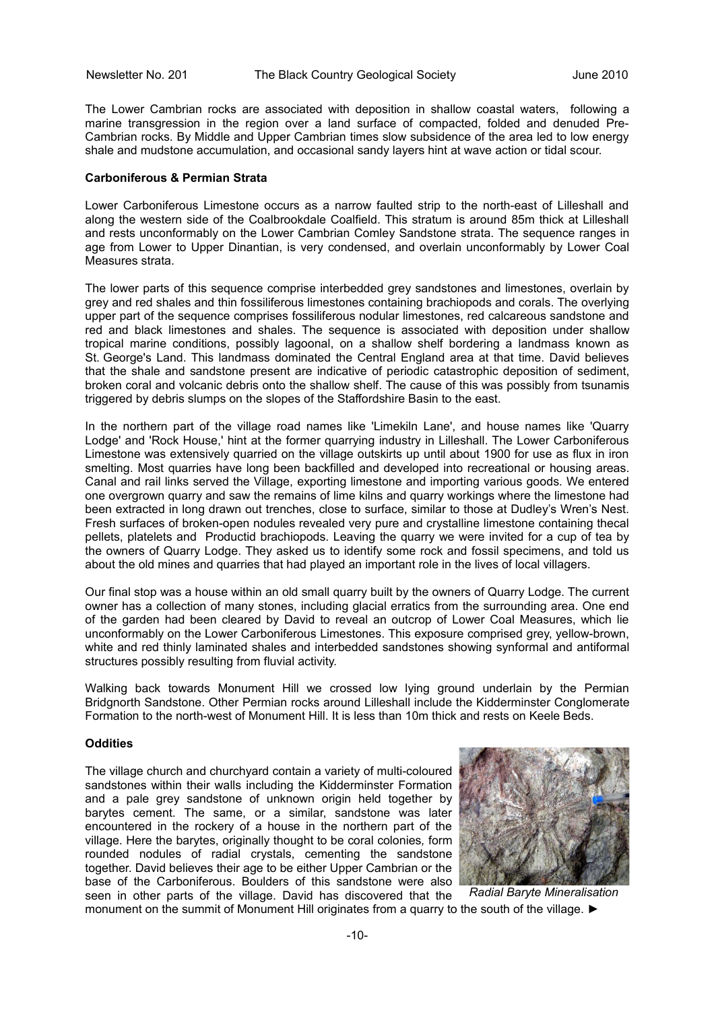The Lower Cambrian rocks are associated with deposition in shallow coastal waters, following a marine transgression in the region over a land surface of compacted, folded and denuded Pre-Cambrian rocks. By Middle and Upper Cambrian times slow subsidence of the area led to low energy shale and mudstone accumulation, and occasional sandy layers hint at wave action or tidal scour.

#### **Carboniferous & Permian Strata**

Lower Carboniferous Limestone occurs as a narrow faulted strip to the north-east of Lilleshall and along the western side of the Coalbrookdale Coalfield. This stratum is around 85m thick at Lilleshall and rests unconformably on the Lower Cambrian Comley Sandstone strata. The sequence ranges in age from Lower to Upper Dinantian, is very condensed, and overlain unconformably by Lower Coal Measures strata.

The lower parts of this sequence comprise interbedded grey sandstones and limestones, overlain by grey and red shales and thin fossiliferous limestones containing brachiopods and corals. The overlying upper part of the sequence comprises fossiliferous nodular limestones, red calcareous sandstone and red and black limestones and shales. The sequence is associated with deposition under shallow tropical marine conditions, possibly lagoonal, on a shallow shelf bordering a landmass known as St. George's Land. This landmass dominated the Central England area at that time. David believes that the shale and sandstone present are indicative of periodic catastrophic deposition of sediment, broken coral and volcanic debris onto the shallow shelf. The cause of this was possibly from tsunamis triggered by debris slumps on the slopes of the Staffordshire Basin to the east.

In the northern part of the village road names like 'Limekiln Lane', and house names like 'Quarry Lodge' and 'Rock House,' hint at the former quarrying industry in Lilleshall. The Lower Carboniferous Limestone was extensively quarried on the village outskirts up until about 1900 for use as flux in iron smelting. Most quarries have long been backfilled and developed into recreational or housing areas. Canal and rail links served the Village, exporting limestone and importing various goods. We entered one overgrown quarry and saw the remains of lime kilns and quarry workings where the limestone had been extracted in long drawn out trenches, close to surface, similar to those at Dudley's Wren's Nest. Fresh surfaces of broken-open nodules revealed very pure and crystalline limestone containing thecal pellets, platelets and Productid brachiopods. Leaving the quarry we were invited for a cup of tea by the owners of Quarry Lodge. They asked us to identify some rock and fossil specimens, and told us about the old mines and quarries that had played an important role in the lives of local villagers.

Our final stop was a house within an old small quarry built by the owners of Quarry Lodge. The current owner has a collection of many stones, including glacial erratics from the surrounding area. One end of the garden had been cleared by David to reveal an outcrop of Lower Coal Measures, which lie unconformably on the Lower Carboniferous Limestones. This exposure comprised grey, yellow-brown, white and red thinly laminated shales and interbedded sandstones showing synformal and antiformal structures possibly resulting from fluvial activity.

Walking back towards Monument Hill we crossed low lying ground underlain by the Permian Bridgnorth Sandstone. Other Permian rocks around Lilleshall include the Kidderminster Conglomerate Formation to the north-west of Monument Hill. It is less than 10m thick and rests on Keele Beds.

#### **Oddities**

The village church and churchyard contain a variety of multi-coloured sandstones within their walls including the Kidderminster Formation and a pale grey sandstone of unknown origin held together by barytes cement. The same, or a similar, sandstone was later encountered in the rockery of a house in the northern part of the village. Here the barytes, originally thought to be coral colonies*,* form rounded nodules of radial crystals, cementing the sandstone together. David believes their age to be either Upper Cambrian or the base of the Carboniferous. Boulders of this sandstone were also seen in other parts of the village. David has discovered that the



monument on the summit of Monument Hill originates from a quarry to the south of the village. ► *Radial Baryte Mineralisation*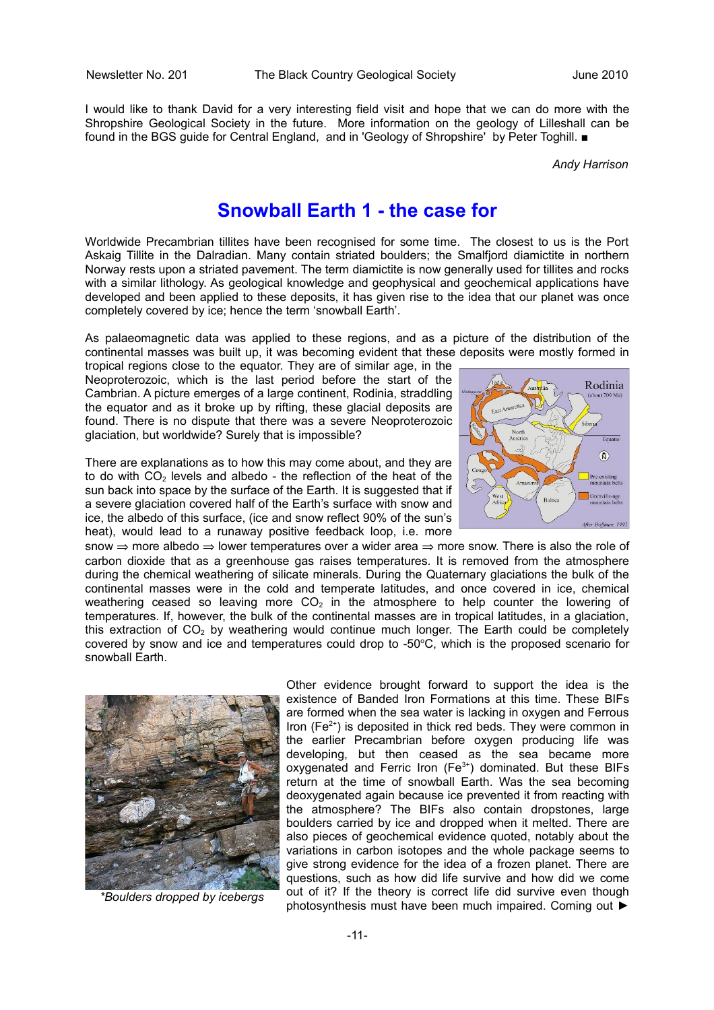I would like to thank David for a very interesting field visit and hope that we can do more with the Shropshire Geological Society in the future. More information on the geology of Lilleshall can be found in the BGS guide for Central England, and in 'Geology of Shropshire' by Peter Toghill. ■

*Andy Harrison*

## **Snowball Earth 1 - the case for**

Worldwide Precambrian tillites have been recognised for some time. The closest to us is the Port Askaig Tillite in the Dalradian. Many contain striated boulders; the Smalfjord diamictite in northern Norway rests upon a striated pavement. The term diamictite is now generally used for tillites and rocks with a similar lithology. As geological knowledge and geophysical and geochemical applications have developed and been applied to these deposits, it has given rise to the idea that our planet was once completely covered by ice; hence the term 'snowball Earth'.

As palaeomagnetic data was applied to these regions, and as a picture of the distribution of the continental masses was built up, it was becoming evident that these deposits were mostly formed in

tropical regions close to the equator. They are of similar age, in the Neoproterozoic, which is the last period before the start of the Cambrian. A picture emerges of a large continent, Rodinia, straddling the equator and as it broke up by rifting, these glacial deposits are found. There is no dispute that there was a severe Neoproterozoic glaciation, but worldwide? Surely that is impossible?

There are explanations as to how this may come about, and they are to do with  $CO<sub>2</sub>$  levels and albedo - the reflection of the heat of the sun back into space by the surface of the Earth. It is suggested that if a severe glaciation covered half of the Earth's surface with snow and ice, the albedo of this surface, (ice and snow reflect 90% of the sun's heat), would lead to a runaway positive feedback loop, i.e. more



snow  $\Rightarrow$  more albedo  $\Rightarrow$  lower temperatures over a wider area  $\Rightarrow$  more snow. There is also the role of carbon dioxide that as a greenhouse gas raises temperatures. It is removed from the atmosphere during the chemical weathering of silicate minerals. During the Quaternary glaciations the bulk of the continental masses were in the cold and temperate latitudes, and once covered in ice, chemical weathering ceased so leaving more  $CO<sub>2</sub>$  in the atmosphere to help counter the lowering of temperatures. If, however, the bulk of the continental masses are in tropical latitudes, in a glaciation, this extraction of  $CO<sub>2</sub>$  by weathering would continue much longer. The Earth could be completely covered by snow and ice and temperatures could drop to -50 $\degree$ C, which is the proposed scenario for snowball Earth.



*\*Boulders dropped by icebergs*

Other evidence brought forward to support the idea is the existence of Banded Iron Formations at this time. These BIFs are formed when the sea water is lacking in oxygen and Ferrous Iron ( $Fe<sup>2+</sup>$ ) is deposited in thick red beds. They were common in the earlier Precambrian before oxygen producing life was developing, but then ceased as the sea became more oxygenated and Ferric Iron (Fe<sup>3+</sup>) dominated. But these BIFs return at the time of snowball Earth. Was the sea becoming deoxygenated again because ice prevented it from reacting with the atmosphere? The BIFs also contain dropstones, large boulders carried by ice and dropped when it melted. There are also pieces of geochemical evidence quoted, notably about the variations in carbon isotopes and the whole package seems to give strong evidence for the idea of a frozen planet. There are questions, such as how did life survive and how did we come out of it? If the theory is correct life did survive even though photosynthesis must have been much impaired. Coming out ►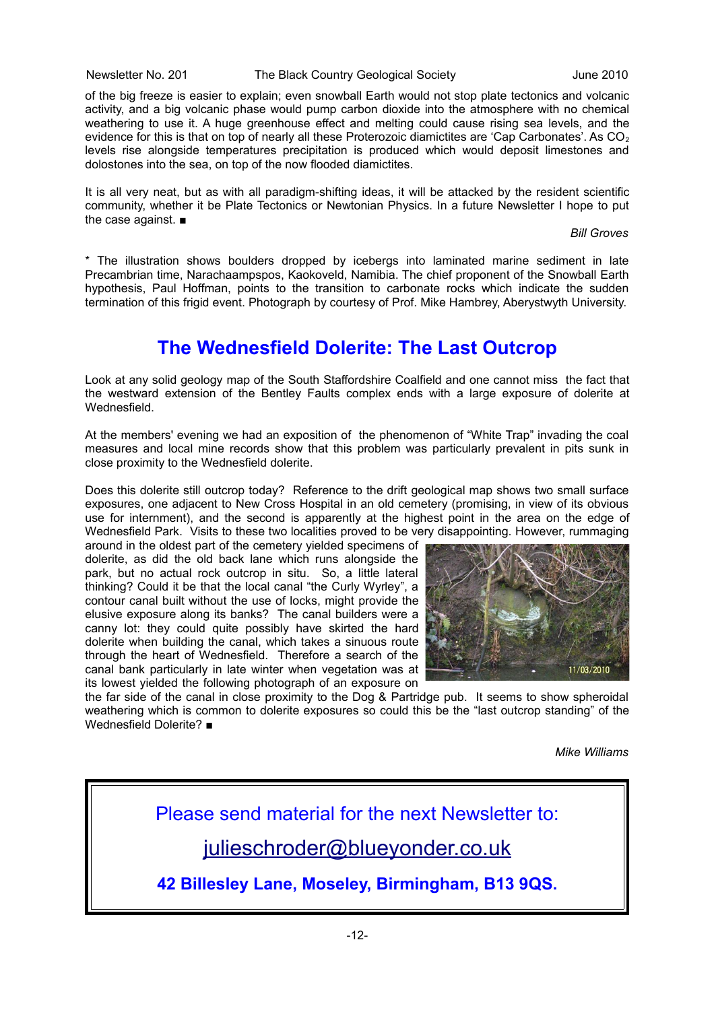Newsletter No. 201 The Black Country Geological Society June 2010

of the big freeze is easier to explain; even snowball Earth would not stop plate tectonics and volcanic activity, and a big volcanic phase would pump carbon dioxide into the atmosphere with no chemical weathering to use it. A huge greenhouse effect and melting could cause rising sea levels, and the evidence for this is that on top of nearly all these Proterozoic diamictites are 'Cap Carbonates'. As CO<sub>2</sub> levels rise alongside temperatures precipitation is produced which would deposit limestones and dolostones into the sea, on top of the now flooded diamictites.

It is all very neat, but as with all paradigm-shifting ideas, it will be attacked by the resident scientific community, whether it be Plate Tectonics or Newtonian Physics. In a future Newsletter I hope to put the case against. ■

*Bill Groves*

\* The illustration shows boulders dropped by icebergs into laminated marine sediment in late Precambrian time, Narachaampspos, Kaokoveld, Namibia. The chief proponent of the Snowball Earth hypothesis, Paul Hoffman, points to the transition to carbonate rocks which indicate the sudden termination of this frigid event. Photograph by courtesy of Prof. Mike Hambrey, Aberystwyth University.

## **The Wednesfield Dolerite: The Last Outcrop**

Look at any solid geology map of the South Staffordshire Coalfield and one cannot miss the fact that the westward extension of the Bentley Faults complex ends with a large exposure of dolerite at Wednesfield.

At the members' evening we had an exposition of the phenomenon of "White Trap" invading the coal measures and local mine records show that this problem was particularly prevalent in pits sunk in close proximity to the Wednesfield dolerite.

Does this dolerite still outcrop today? Reference to the drift geological map shows two small surface exposures, one adjacent to New Cross Hospital in an old cemetery (promising, in view of its obvious use for internment), and the second is apparently at the highest point in the area on the edge of Wednesfield Park. Visits to these two localities proved to be very disappointing. However, rummaging

around in the oldest part of the cemetery yielded specimens of dolerite, as did the old back lane which runs alongside the park, but no actual rock outcrop in situ. So, a little lateral thinking? Could it be that the local canal "the Curly Wyrley", a contour canal built without the use of locks, might provide the elusive exposure along its banks? The canal builders were a canny lot: they could quite possibly have skirted the hard dolerite when building the canal, which takes a sinuous route through the heart of Wednesfield. Therefore a search of the canal bank particularly in late winter when vegetation was at its lowest yielded the following photograph of an exposure on



the far side of the canal in close proximity to the Dog & Partridge pub. It seems to show spheroidal weathering which is common to dolerite exposures so could this be the "last outcrop standing" of the Wednesfield Dolerite? ■

*Mike Williams*

Please send material for the next Newsletter to: [julieschroder@blueyonder.co.uk](mailto:julieschroder@blueyonder.co.uk)

**42 Billesley Lane, Moseley, Birmingham, B13 9QS.**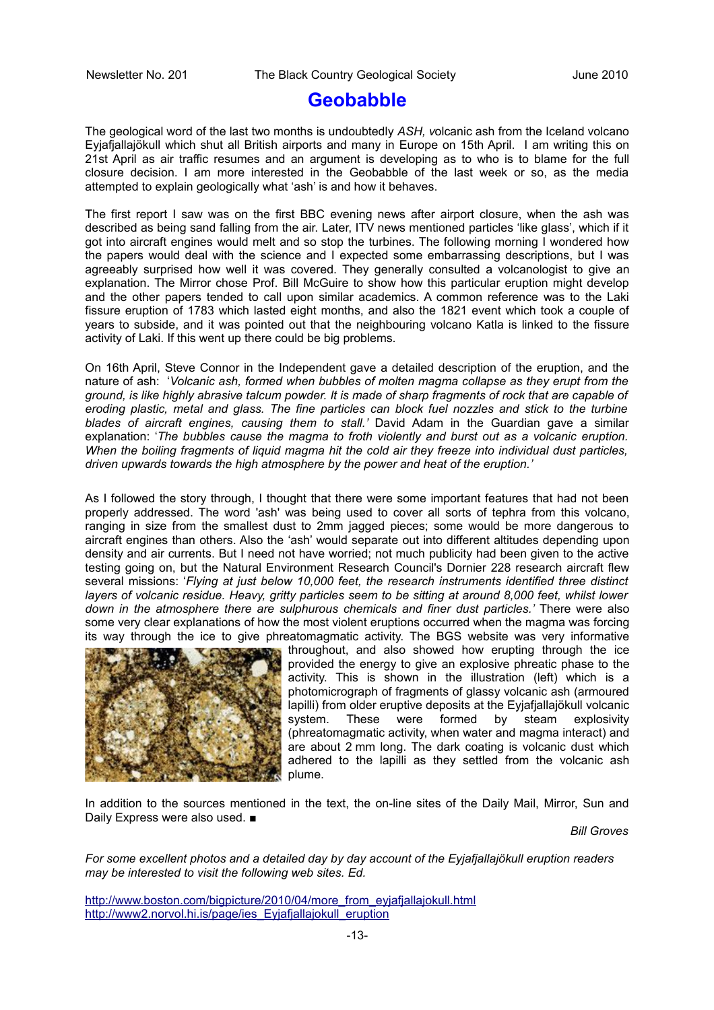## **Geobabble**

The geological word of the last two months is undoubtedly *ASH, v*olcanic ash from the Iceland volcano Eyjafjallajökull which shut all British airports and many in Europe on 15th April. I am writing this on 21st April as air traffic resumes and an argument is developing as to who is to blame for the full closure decision. I am more interested in the Geobabble of the last week or so, as the media attempted to explain geologically what 'ash' is and how it behaves.

The first report I saw was on the first BBC evening news after airport closure, when the ash was described as being sand falling from the air. Later, ITV news mentioned particles 'like glass', which if it got into aircraft engines would melt and so stop the turbines. The following morning I wondered how the papers would deal with the science and I expected some embarrassing descriptions, but I was agreeably surprised how well it was covered. They generally consulted a volcanologist to give an explanation. The Mirror chose Prof. Bill McGuire to show how this particular eruption might develop and the other papers tended to call upon similar academics. A common reference was to the Laki fissure eruption of 1783 which lasted eight months, and also the 1821 event which took a couple of years to subside, and it was pointed out that the neighbouring volcano Katla is linked to the fissure activity of Laki. If this went up there could be big problems.

On 16th April, Steve Connor in the Independent gave a detailed description of the eruption, and the nature of ash: '*Volcanic ash, formed when bubbles of molten magma collapse as they erupt from the ground, is like highly abrasive talcum powder. It is made of sharp fragments of rock that are capable of eroding plastic, metal and glass. The fine particles can block fuel nozzles and stick to the turbine blades of aircraft engines, causing them to stall.'* David Adam in the Guardian gave a similar explanation: '*The bubbles cause the magma to froth violently and burst out as a volcanic eruption. When the boiling fragments of liquid magma hit the cold air they freeze into individual dust particles, driven upwards towards the high atmosphere by the power and heat of the eruption.'*

As I followed the story through, I thought that there were some important features that had not been properly addressed. The word 'ash' was being used to cover all sorts of tephra from this volcano, ranging in size from the smallest dust to 2mm jagged pieces; some would be more dangerous to aircraft engines than others. Also the 'ash' would separate out into different altitudes depending upon density and air currents. But I need not have worried; not much publicity had been given to the active testing going on, but the Natural Environment Research Council's Dornier 228 research aircraft flew several missions: '*Flying at just below 10,000 feet, the research instruments identified three distinct layers of volcanic residue. Heavy, gritty particles seem to be sitting at around 8,000 feet, whilst lower down in the atmosphere there are sulphurous chemicals and finer dust particles.'* There were also some very clear explanations of how the most violent eruptions occurred when the magma was forcing its way through the ice to give phreatomagmatic activity. The BGS website was very informative



throughout, and also showed how erupting through the ice provided the energy to give an explosive phreatic phase to the activity. This is shown in the illustration (left) which is a photomicrograph of fragments of glassy volcanic ash (armoured lapilli) from older eruptive deposits at the Eyjafjallajökull volcanic system. These were formed by steam explosivity (phreatomagmatic activity, when water and magma interact) and are about 2 mm long. The dark coating is volcanic dust which adhered to the lapilli as they settled from the volcanic ash plume.

In addition to the sources mentioned in the text, the on-line sites of the Daily Mail, Mirror, Sun and Daily Express were also used. ■

*Bill Groves*

*For some excellent photos and a detailed day by day account of the Eyjafjallajökull eruption readers may be interested to visit the following web sites. Ed.*

[http://www.boston.com/bigpicture/2010/04/more\\_from\\_eyjafjallajokull.html](http://www.boston.com/bigpicture/2010/04/more_from_eyjafjallajokull.html) [http://www2.norvol.hi.is/page/ies\\_Eyjafjallajokull\\_eruption](http://www2.norvol.hi.is/page/ies_Eyjafjallajokull_eruption)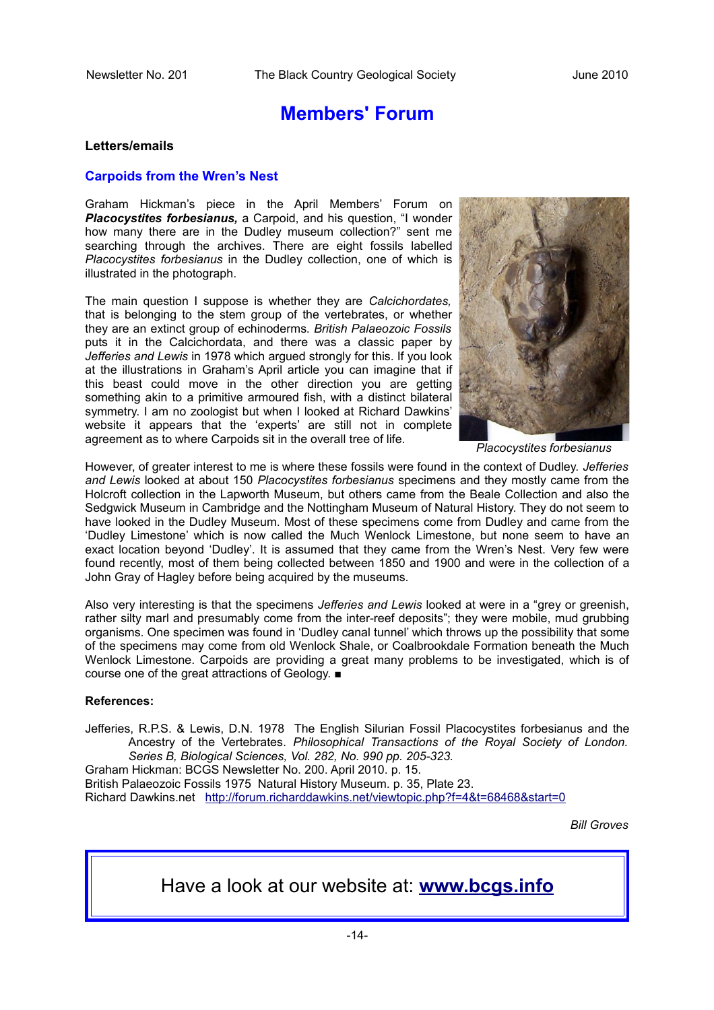## **Members' Forum**

#### **Letters/emails**

#### **Carpoids from the Wren's Nest**

Graham Hickman's piece in the April Members' Forum on *Placocystites forbesianus,* a Carpoid, and his question, "I wonder how many there are in the Dudley museum collection?" sent me searching through the archives. There are eight fossils labelled *Placocystites forbesianus* in the Dudley collection, one of which is illustrated in the photograph.

The main question I suppose is whether they are *Calcichordates,* that is belonging to the stem group of the vertebrates, or whether they are an extinct group of echinoderms. *British Palaeozoic Fossils* puts it in the Calcichordata, and there was a classic paper by *Jefferies and Lewis* in 1978 which argued strongly for this. If you look at the illustrations in Graham's April article you can imagine that if this beast could move in the other direction you are getting something akin to a primitive armoured fish, with a distinct bilateral symmetry. I am no zoologist but when I looked at Richard Dawkins' website it appears that the 'experts' are still not in complete agreement as to where Carpoids sit in the overall tree of life.



*Placocystites forbesianus*

However, of greater interest to me is where these fossils were found in the context of Dudley. *Jefferies and Lewis* looked at about 150 *Placocystites forbesianus* specimens and they mostly came from the Holcroft collection in the Lapworth Museum, but others came from the Beale Collection and also the Sedgwick Museum in Cambridge and the Nottingham Museum of Natural History. They do not seem to have looked in the Dudley Museum. Most of these specimens come from Dudley and came from the 'Dudley Limestone' which is now called the Much Wenlock Limestone, but none seem to have an exact location beyond 'Dudley'. It is assumed that they came from the Wren's Nest. Very few were found recently, most of them being collected between 1850 and 1900 and were in the collection of a John Gray of Hagley before being acquired by the museums.

Also very interesting is that the specimens *Jefferies and Lewis* looked at were in a "grey or greenish, rather silty marl and presumably come from the inter-reef deposits"; they were mobile, mud grubbing organisms. One specimen was found in 'Dudley canal tunnel' which throws up the possibility that some of the specimens may come from old Wenlock Shale, or Coalbrookdale Formation beneath the Much Wenlock Limestone. Carpoids are providing a great many problems to be investigated, which is of course one of the great attractions of Geology. ■

#### **References:**

Jefferies, R.P.S. & Lewis, D.N. 1978 The English Silurian Fossil Placocystites forbesianus and the Ancestry of the Vertebrates. *Philosophical Transactions of the Royal Society of London. Series B, Biological Sciences, Vol. 282, No. 990 pp. 205-323.* Graham Hickman: BCGS Newsletter No. 200. April 2010. p. 15. British Palaeozoic Fossils 1975 Natural History Museum. p. 35, Plate 23. Richard Dawkins.net <http://forum.richarddawkins.net/viewtopic.php?f=4&t=68468&start=0>

*Bill Groves*

Have a look at our website at: **[www.bcgs.info](http://www.bcgs.info/)**